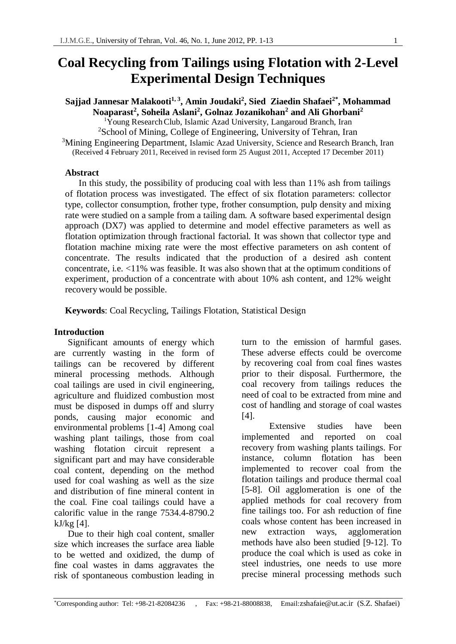# **Coal Recycling from Tailings using Flotation with 2-Level Experimental Design Techniques**

**Sajjad Jannesar Malakooti1, 3, Amin Joudaki2 , Sied Ziaedin Shafaei2\*, Mohammad Noaparast<sup>2</sup> , Soheila Aslani<sup>2</sup> , Golnaz Jozanikohan<sup>2</sup> and Ali Ghorbani<sup>2</sup>**

 $\overline{Y}$ oung Research Club, Islamic Azad University, Langaroud Branch, Iran <sup>2</sup>School of Mining, College of Engineering, University of Tehran, Iran

<sup>3</sup>Mining Engineering Department, Islamic Azad University, Science and Research Branch, Iran (Received 4 February 2011, Received in revised form 25 August 2011, Accepted 17 December 2011)

### **Abstract**

 In this study, the possibility of producing coal with less than 11% ash from tailings of flotation process was investigated. The effect of six flotation parameters: collector type, collector consumption, frother type, frother consumption, pulp density and mixing rate were studied on a sample from a tailing dam. A software based experimental design approach (DX7) was applied to determine and model effective parameters as well as flotation optimization through fractional factorial. It was shown that collector type and flotation machine mixing rate were the most effective parameters on ash content of concentrate. The results indicated that the production of a desired ash content concentrate, i.e. <11% was feasible. It was also shown that at the optimum conditions of experiment, production of a concentrate with about 10% ash content, and 12% weight recovery would be possible.

**Keywords**: Coal Recycling, Tailings Flotation, Statistical Design

## **Introduction**

Significant amounts of energy which are currently wasting in the form of tailings can be recovered by different mineral processing methods. Although coal tailings are used in civil engineering, agriculture and fluidized combustion most must be disposed in dumps off and slurry ponds, causing major economic and environmental problems [1-4] Among coal washing plant tailings, those from coal washing flotation circuit represent a significant part and may have considerable coal content, depending on the method used for coal washing as well as the size and distribution of fine mineral content in the coal. Fine coal tailings could have a calorific value in the range 7534.4-8790.2 kJ/kg [4].

Due to their high coal content, smaller size which increases the surface area liable to be wetted and oxidized, the dump of fine coal wastes in dams aggravates the risk of spontaneous combustion leading in

turn to the emission of harmful gases. These adverse effects could be overcome by recovering coal from coal fines wastes prior to their disposal. Furthermore, the coal recovery from tailings reduces the need of coal to be extracted from mine and cost of handling and storage of coal wastes [4].

Extensive studies have been implemented and reported on coal recovery from washing plants tailings. For instance, column flotation has been implemented to recover coal from the flotation tailings and produce thermal coal [5-8]. Oil agglomeration is one of the applied methods for coal recovery from fine tailings too. For ash reduction of fine coals whose content has been increased in new extraction ways, agglomeration methods have also been studied [9-12]. To produce the coal which is used as coke in steel industries, one needs to use more precise mineral processing methods such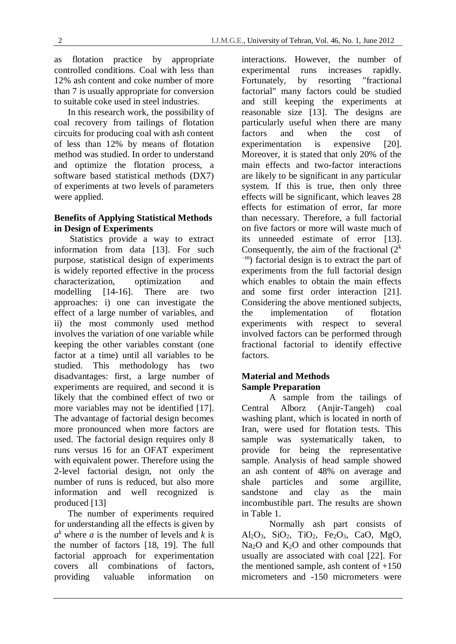as flotation practice by appropriate controlled conditions. Coal with less than 12% ash content and coke number of more than 7 is usually appropriate for conversion to suitable coke used in steel industries.

In this research work, the possibility of coal recovery from tailings of flotation circuits for producing coal with ash content of less than 12% by means of flotation method was studied. In order to understand and optimize the flotation process, a software based statistical methods (DX7) of experiments at two levels of parameters were applied.

## **Benefits of Applying Statistical Methods in Design of Experiments**

Statistics provide a way to extract information from data [13]. For such purpose, statistical design of experiments is widely reported effective in the process characterization, optimization and modelling [14-16]. There are two approaches: i) one can investigate the effect of a large number of variables, and ii) the most commonly used method involves the variation of one variable while keeping the other variables constant (one factor at a time) until all variables to be studied. This methodology has two disadvantages: first, a large number of experiments are required, and second it is likely that the combined effect of two or more variables may not be identified [17]. The advantage of factorial design becomes more pronounced when more factors are used. The factorial design requires only 8 runs versus 16 for an OFAT experiment with equivalent power. Therefore using the 2-level factorial design, not only the number of runs is reduced, but also more information and well recognized is produced [13]

The number of experiments required for understanding all the effects is given by  $a^k$  where *a* is the number of levels and *k* is the number of factors [18, 19]. The full factorial approach for experimentation covers all combinations of factors, providing valuable information on

interactions. However, the number of experimental runs increases rapidly. Fortunately, by resorting "fractional factorial" many factors could be studied and still keeping the experiments at reasonable size [13]. The designs are particularly useful when there are many factors and when the cost of experimentation is expensive [20]. Moreover, it is stated that only 20% of the main effects and two-factor interactions are likely to be significant in any particular system. If this is true, then only three effects will be significant, which leaves 28 effects for estimation of error, far more than necessary. Therefore, a full factorial on five factors or more will waste much of its unneeded estimate of error [13]. Consequently, the aim of the fractional  $(2^k)$  $\tau$ <sup>-m</sup>) factorial design is to extract the part of experiments from the full factorial design which enables to obtain the main effects and some first order interaction [21]. Considering the above mentioned subjects, the implementation of flotation experiments with respect to several involved factors can be performed through fractional factorial to identify effective factors.

# **Material and Methods Sample Preparation**

A sample from the tailings of Central Alborz (Anjir-Tangeh) coal washing plant, which is located in north of Iran, were used for flotation tests. This sample was systematically taken, to provide for being the representative sample. Analysis of head sample showed an ash content of 48% on average and shale particles and some argillite, sandstone and clay as the main incombustible part. The results are shown in Table 1.

Normally ash part consists of Al<sub>2</sub>O<sub>3</sub>, SiO<sub>2</sub>, TiO<sub>2</sub>, Fe<sub>2</sub>O<sub>3</sub>, CaO, MgO, Na<sub>2</sub>O and K<sub>2</sub>O and other compounds that usually are associated with coal [22]. For the mentioned sample, ash content of  $+150$ micrometers and -150 micrometers were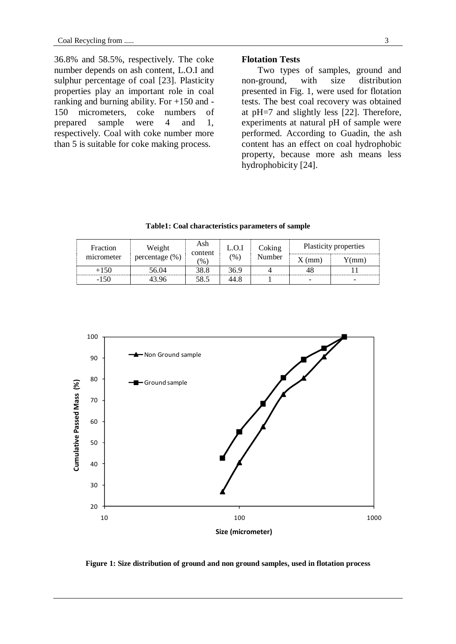36.8% and 58.5%, respectively. The coke number depends on ash content, L.O.I and sulphur percentage of coal [23]. Plasticity properties play an important role in coal ranking and burning ability. For +150 and - 150 micrometers, coke numbers of prepared sample were 4 and 1, respectively. Coal with coke number more than 5 is suitable for coke making process.

## **Flotation Tests**

 Two types of samples, ground and non-ground, with size distribution presented in Fig. 1, were used for flotation tests. The best coal recovery was obtained at pH=7 and slightly less [22]. Therefore, experiments at natural pH of sample were performed. According to Guadin, the ash content has an effect on coal hydrophobic property, because more ash means less hydrophobicity [24].

**Table1: Coal characteristics parameters of sample**

| Fraction   | Weight         | Ash<br>content | L.O.I         | Coking                | Plasticity properties |  |  |  |
|------------|----------------|----------------|---------------|-----------------------|-----------------------|--|--|--|
| micrometer | percentage (%) | $\frac{1}{2}$  | $\frac{9}{6}$ | Number<br>$X \, (mm)$ | (mm)                  |  |  |  |
| +150       | 56.04          | 38.8           | 36.9          |                       | 48                    |  |  |  |
| -150       | 13 Q6          | 58.5           | 44.8          |                       |                       |  |  |  |



**Figure 1: Size distribution of ground and non ground samples, used in flotation process**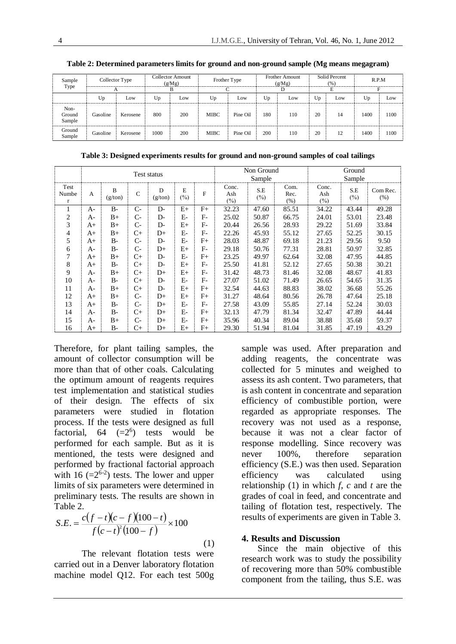| Sample<br>Type           | Collector Type<br>А |          | <b>Collector Amount</b><br>(g/Mg) |     | Frother Type<br>⌒ |          |     | <b>Frother Amount</b><br>(g/Mg) |    | Solid Percent<br>(%) | R.P.M |      |
|--------------------------|---------------------|----------|-----------------------------------|-----|-------------------|----------|-----|---------------------------------|----|----------------------|-------|------|
|                          |                     |          |                                   |     |                   |          |     |                                 | E  |                      | Е     |      |
|                          | Up                  | Low      | Up                                | Low | Up                | Low      | Up  | Low                             | Up | Low                  | Up    | Low  |
| Non-<br>Ground<br>Sample | Gasoline            | Kerosene | 800                               | 200 | <b>MIBC</b>       | Pine Oil | 180 | 110                             | 20 | 14                   | 1400  | 1100 |
| Ground<br>Sample         | Gasoline            | Kerosene | 1000                              | 200 | <b>MIBC</b>       | Pine Oil | 200 | 110                             | 20 | 12                   | 1400  | 1100 |

**Table 2: Determined parameters limits for ground and non-ground sample (Mg means megagram)**

**Table 3: Designed experiments results for ground and non-ground samples of coal tailings**

|                    | Test status |              |              |              |             |       |                     | Non Ground<br>Sample |                      | Ground<br>Sample    |                |                     |  |
|--------------------|-------------|--------------|--------------|--------------|-------------|-------|---------------------|----------------------|----------------------|---------------------|----------------|---------------------|--|
| Test<br>Numbe<br>r | A           | B<br>(g/ton) | $\mathsf{C}$ | D<br>(g/ton) | E<br>$(\%)$ | F     | Conc.<br>Ash<br>(%) | S.E<br>$(\% )$       | Com.<br>Rec.<br>(% ) | Conc.<br>Ash<br>(%) | S.E<br>$(\% )$ | Com Rec.<br>$(\% )$ |  |
| 1                  | $A-$        | $B-$         | $C-$         | $D-$         | $E+$        | $F+$  | 32.23               | 47.60                | 85.51                | 34.22               | 43.44          | 49.28               |  |
| 2                  | A-          | $B+$         | $C-$         | $D-$         | $E-$        | F-    | 25.02               | 50.87                | 66.75                | 24.01               | 53.01          | 23.48               |  |
| 3                  | $A+$        | $B+$         | $C-$         | $D-$         | $E+$        | $F-$  | 20.44               | 26.56                | 28.93                | 29.22               | 51.69          | 33.84               |  |
| 4                  | $A+$        | $B+$         | $C+$         | $D+$         | $E-$        | $F -$ | 22.26               | 45.93                | 55.12                | 27.65               | 52.25          | 30.15               |  |
| 5                  | $A+$        | $B -$        | $C-$         | $D-$         | $E-$        | $F+$  | 28.03               | 48.87                | 69.18                | 21.23               | 29.56          | 9.50                |  |
| 6                  | A-          | $B-$         | $C-$         | $D+$         | $E+$        | $F -$ | 29.18               | 50.76                | 77.31                | 28.81               | 50.97          | 32.85               |  |
| 7                  | $A+$        | $B+$         | $C+$         | $D-$         | $E-$        | F+    | 23.25               | 49.97                | 62.64                | 32.08               | 47.95          | 44.85               |  |
| 8                  | $A+$        | $B-$         | $C+$         | $D-$         | $E+$        | $F-$  | 25.50               | 41.81                | 52.12                | 27.65               | 50.38          | 30.21               |  |
| 9                  | A-          | $B+$         | $C+$         | $D+$         | $E+$        | $F-$  | 31.42               | 48.73                | 81.46                | 32.08               | 48.67          | 41.83               |  |
| 10                 | A-          | $B-$         | $C+$         | $D-$         | $E-$        | $F-$  | 27.07               | 51.02                | 71.49                | 26.65               | 54.65          | 31.35               |  |
| 11                 | A-          | $B+$         | $C+$         | $D-$         | $E+$        | $F+$  | 32.54               | 44.63                | 88.83                | 38.02               | 36.68          | 55.26               |  |
| 12                 | $A+$        | $B+$         | $C-$         | $D+$         | $E+$        | F+    | 31.27               | 48.64                | 80.56                | 26.78               | 47.64          | 25.18               |  |
| 13                 | $A+$        | $B -$        | $C-$         | $D+$         | $E-$        | $F-$  | 27.58               | 43.09                | 55.85                | 27.14               | 52.24          | 30.03               |  |
| 14                 | A-          | $B-$         | $C+$         | $D+$         | $E-$        | $F+$  | 32.13               | 47.79                | 81.34                | 32.47               | 47.89          | 44.44               |  |
| 15                 | A-          | $B+$         | $C-$         | $D+$         | $E-$        | $F+$  | 35.96               | 40.34                | 89.04                | 38.88               | 35.68          | 59.37               |  |
| 16                 | $A+$        | $B-$         | $C+$         | $D+$         | $E+$        | $F+$  | 29.30               | 51.94                | 81.04                | 31.85               | 47.19          | 43.29               |  |

Therefore, for plant tailing samples, the amount of collector consumption will be more than that of other coals. Calculating the optimum amount of reagents requires test implementation and statistical studies of their design. The effects of six parameters were studied in flotation process. If the tests were designed as full factorial,  $64 \quad (=2^6)$  tests would be performed for each sample. But as it is mentioned, the tests were designed and performed by fractional factorial approach with 16  $(=2^{6-2})$  tests. The lower and upper limits of six parameters were determined in preliminary tests. The results are shown in Table 2.

$$
S.E. = \frac{c(f-t)(c-f)(100-t)}{f(c-t)^2(100-f)} \times 100
$$
\n(1)

The relevant flotation tests were carried out in a Denver laboratory flotation machine model Q12. For each test 500g sample was used. After preparation and adding reagents, the concentrate was collected for 5 minutes and weighed to assess its ash content. Two parameters, that is ash content in concentrate and separation efficiency of combustible portion, were regarded as appropriate responses. The recovery was not used as a response, because it was not a clear factor of response modelling. Since recovery was never 100%, therefore separation efficiency (S.E.) was then used. Separation efficiency was calculated using relationship (1) in which *f*, *c* and *t* are the grades of coal in feed, and concentrate and tailing of flotation test, respectively. The results of experiments are given in Table 3.

#### **4. Results and Discussion**

 Since the main objective of this research work was to study the possibility of recovering more than 50% combustible component from the tailing, thus S.E. was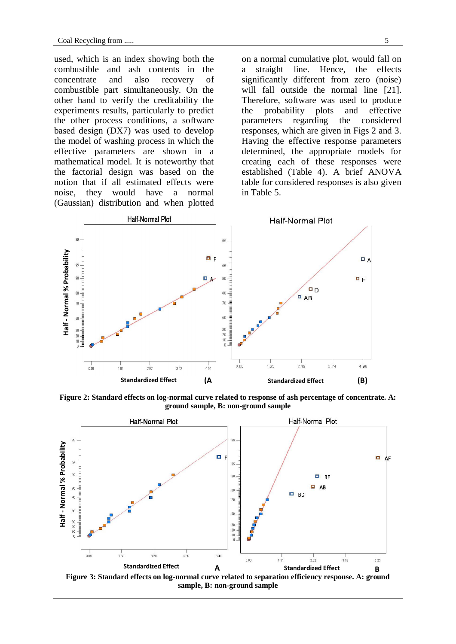used, which is an index showing both the combustible and ash contents in the concentrate and also recovery of combustible part simultaneously. On the other hand to verify the creditability the experiments results, particularly to predict the other process conditions, a software based design (DX7) was used to develop the model of washing process in which the effective parameters are shown in a mathematical model. It is noteworthy that the factorial design was based on the notion that if all estimated effects were noise, they would have a normal (Gaussian) distribution and when plotted on a normal cumulative plot, would fall on a straight line. Hence, the effects significantly different from zero (noise) will fall outside the normal line [21]. Therefore, software was used to produce the probability plots and effective parameters regarding the considered responses, which are given in Figs 2 and 3. Having the effective response parameters determined, the appropriate models for creating each of these responses were established (Table 4). A brief ANOVA table for considered responses is also given in Table 5.



**Figure 2: Standard effects on log-normal curve related to response of ash percentage of concentrate. A: ) ground sample, B: non-ground sample**

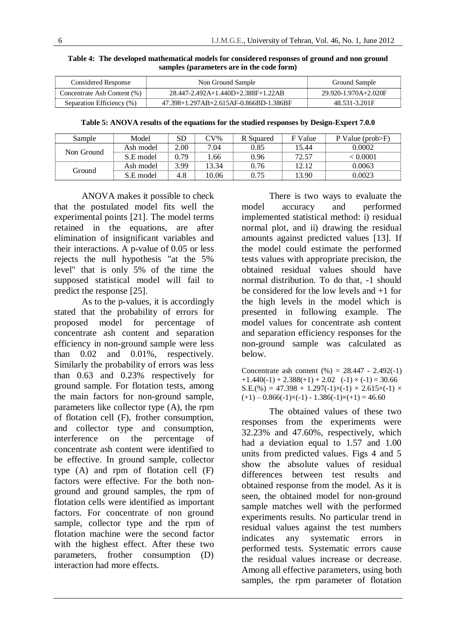| Considered Response         | Non Ground Sample                      | Ground Sample        |
|-----------------------------|----------------------------------------|----------------------|
| Concentrate Ash Content (%) | 28.447-2.492A+1.440D+2.388F+1.22AB     | 29.920-1.970A+2.020F |
| Separation Efficiency (%)   | 47.398+1.297AB+2.615AF-0.866BD-1.386BF | 48.531-3.201F        |

**Table 4: The developed mathematical models for considered responses of ground and non ground samples (parameters are in the code form)**

**Table 5: ANOVA results of the equations for the studied responses by Design-Expert 7.0.0**

| Sample     | Model     | <b>SD</b> | $CV\%$ | R Squared | F Value | P Value ( $prob>F$ ) |
|------------|-----------|-----------|--------|-----------|---------|----------------------|
| Non Ground | Ash model | 2.00      | 7.04   | 0.85      | 15.44   | 0.0002               |
|            | S.E model | 0.79      | l.66   | 0.96      | 72.57   | < 0.0001             |
|            | Ash model | 3.99      | 13.34  | 0.76      | 12.12   | 0.0063               |
| Ground     | S.E model | 4.8       | 10.06  | 0.75      | 13.90   | 0.0023               |

ANOVA makes it possible to check that the postulated model fits well the experimental points [21]. The model terms retained in the equations, are after elimination of insignificant variables and their interactions. A p-value of 0.05 or less rejects the null hypothesis "at the 5% level" that is only 5% of the time the supposed statistical model will fail to predict the response [25].

As to the p-values, it is accordingly stated that the probability of errors for proposed model for percentage of concentrate ash content and separation efficiency in non-ground sample were less than 0.02 and 0.01%, respectively. Similarly the probability of errors was less than 0.63 and 0.23% respectively for ground sample. For flotation tests, among the main factors for non-ground sample, parameters like collector type (A), the rpm of flotation cell (F), frother consumption, and collector type and consumption, interference on the percentage of concentrate ash content were identified to be effective. In ground sample, collector type (A) and rpm of flotation cell (F) factors were effective. For the both nonground and ground samples, the rpm of flotation cells were identified as important factors. For concentrate of non ground sample, collector type and the rpm of flotation machine were the second factor with the highest effect. After these two parameters, frother consumption (D) interaction had more effects.

There is two ways to evaluate the model accuracy and performed implemented statistical method: i) residual normal plot, and ii) drawing the residual amounts against predicted values [13]. If the model could estimate the performed tests values with appropriate precision, the obtained residual values should have normal distribution. To do that, -1 should be considered for the low levels and +1 for the high levels in the model which is presented in following example. The model values for concentrate ash content and separation efficiency responses for the non-ground sample was calculated as below.

Concentrate ash content  $(\% ) = 28.447 - 2.492(-1)$  $+1.440(-1) + 2.388(+1) + 2.02$  (-1)  $\times$  (-1) = 30.66  $S.E.(%) = 47.398 + 1.297(-1) \times (-1) \times 2.615 \times (-1) \times$  $(+1) - 0.866(-1) \times (-1) - 1.386(-1) \times (+1) = 46.60$ 

The obtained values of these two responses from the experiments were 32.23% and 47.60%, respectively, which had a deviation equal to 1.57 and 1.00 units from predicted values. Figs 4 and 5 show the absolute values of residual differences between test results and obtained response from the model. As it is seen, the obtained model for non-ground sample matches well with the performed experiments results. No particular trend in residual values against the test numbers indicates any systematic errors in performed tests. Systematic errors cause the residual values increase or decrease. Among all effective parameters, using both samples, the rpm parameter of flotation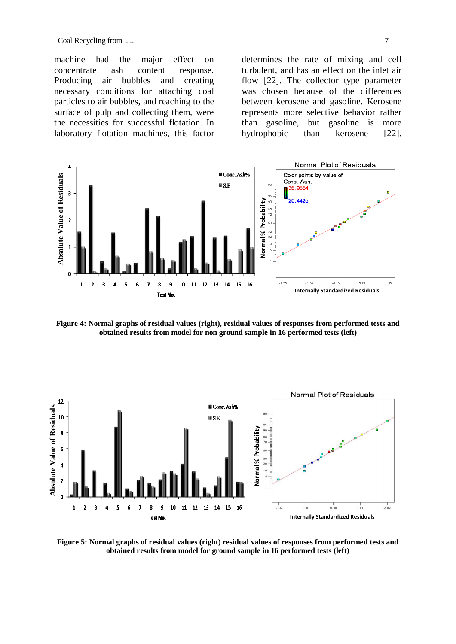machine had the major effect on concentrate ash content response. Producing air bubbles and creating necessary conditions for attaching coal particles to air bubbles, and reaching to the surface of pulp and collecting them, were the necessities for successful flotation. In laboratory flotation machines, this factor determines the rate of mixing and cell turbulent, and has an effect on the inlet air flow [22]. The collector type parameter was chosen because of the differences between kerosene and gasoline. Kerosene represents more selective behavior rather than gasoline, but gasoline is more hydrophobic than kerosene [22].



**Figure 4: Normal graphs of residual values (right), residual values of responses from performed tests and obtained results from model for non ground sample in 16 performed tests (left)**



**Figure 5: Normal graphs of residual values (right) residual values of responses from performed tests and obtained results from model for ground sample in 16 performed tests (left)**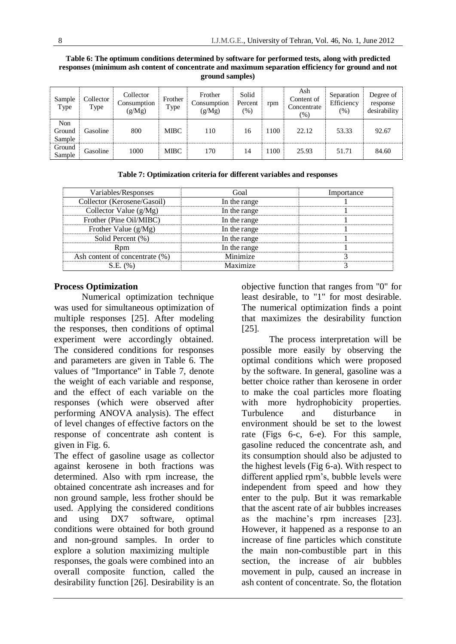| Sample<br>Type          | Collector<br>Type | Collector<br>Consumption<br>(g/Mg) | Frother<br>Type | Frother<br>Consumption<br>(g/Mg) | Solid<br>Percent<br>$(\% )$ | rpm  | Ash<br>Content of<br>Concentrate<br>$(\% )$ | Separation<br>Efficiency<br>(9) | Degree of<br>response<br>desirability |
|-------------------------|-------------------|------------------------------------|-----------------|----------------------------------|-----------------------------|------|---------------------------------------------|---------------------------------|---------------------------------------|
| Non<br>Ground<br>Sample | Gasoline          | 800                                | MIBC            | 110                              | 16                          | 1100 | 22.12                                       | 53.33                           | 92.67                                 |
| Ground<br>Sample        | Gasoline          | 1000                               | MIBC            | 170                              | 14                          | 1100 | 25.93                                       | 51.71                           | 84.60                                 |

#### **Table 6: The optimum conditions determined by software for performed tests, along with predicted responses (minimum ash content of concentrate and maximum separation efficiency for ground and not ground samples)**

| Variables/Responses            | Goal         | Importance |
|--------------------------------|--------------|------------|
| Collector (Kerosene/Gasoil)    | In the range |            |
| Collector Value $(g/Mg)$       | In the range |            |
| Frother (Pine Oil/MIBC)        | In the range |            |
| Frother Value $(g/Mg)$         | In the range |            |
| Solid Percent (%)              | In the range |            |
| Rnm                            | In the range |            |
| Ash content of concentrate (%) | Minimize     |            |

 $S.E. (%)$  Maximize 3

# **Table 7: Optimization criteria for different variables and responses**

## **Process Optimization**

Numerical optimization technique was used for simultaneous optimization of multiple responses [25]. After modeling the responses, then conditions of optimal experiment were accordingly obtained. The considered conditions for responses and parameters are given in Table 6. The values of "Importance" in Table 7, denote the weight of each variable and response, and the effect of each variable on the responses (which were observed after performing ANOVA analysis). The effect of level changes of effective factors on the response of concentrate ash content is given in Fig. 6.

The effect of gasoline usage as collector against kerosene in both fractions was determined. Also with rpm increase, the obtained concentrate ash increases and for non ground sample, less frother should be used. Applying the considered conditions and using DX7 software, optimal conditions were obtained for both ground and non-ground samples. In order to explore a solution maximizing multiple responses, the goals were combined into an overall composite function, called the desirability function [26]. Desirability is an

objective function that ranges from "0" for least desirable, to "1" for most desirable. The numerical optimization finds a point that maximizes the desirability function [25].

The process interpretation will be possible more easily by observing the optimal conditions which were proposed by the software. In general, gasoline was a better choice rather than kerosene in order to make the coal particles more floating with more hydrophobicity properties. Turbulence and disturbance in environment should be set to the lowest rate (Figs 6-c, 6-e). For this sample, gasoline reduced the concentrate ash, and its consumption should also be adjusted to the highest levels (Fig 6-a). With respect to different applied rpm's, bubble levels were independent from speed and how they enter to the pulp. But it was remarkable that the ascent rate of air bubbles increases as the machine's rpm increases [23]. However, it happened as a response to an increase of fine particles which constitute the main non-combustible part in this section, the increase of air bubbles movement in pulp, caused an increase in ash content of concentrate. So, the flotation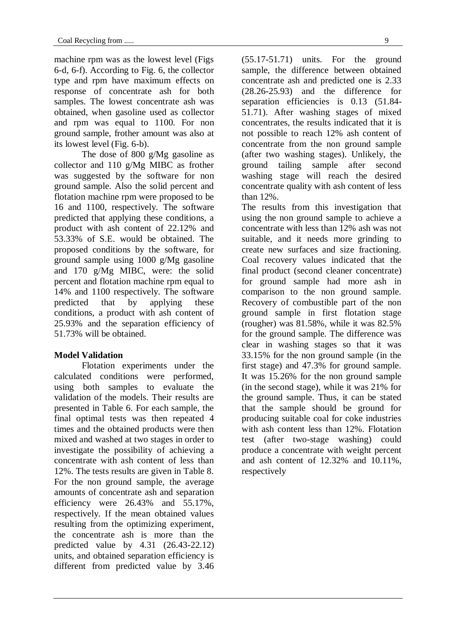machine rpm was as the lowest level (Figs 6-d, 6-f). According to Fig. 6, the collector type and rpm have maximum effects on response of concentrate ash for both samples. The lowest concentrate ash was obtained, when gasoline used as collector and rpm was equal to 1100. For non ground sample, frother amount was also at its lowest level (Fig. 6-b).

The dose of 800 g/Mg gasoline as collector and 110 g/Mg MIBC as frother was suggested by the software for non ground sample. Also the solid percent and flotation machine rpm were proposed to be 16 and 1100, respectively. The software predicted that applying these conditions, a product with ash content of 22.12% and 53.33% of S.E. would be obtained. The proposed conditions by the software, for ground sample using 1000 g/Mg gasoline and 170 g/Mg MIBC, were: the solid percent and flotation machine rpm equal to 14% and 1100 respectively. The software predicted that by applying these conditions, a product with ash content of 25.93% and the separation efficiency of 51.73% will be obtained.

# **Model Validation**

Flotation experiments under the calculated conditions were performed, using both samples to evaluate the validation of the models. Their results are presented in Table 6. For each sample, the final optimal tests was then repeated 4 times and the obtained products were then mixed and washed at two stages in order to investigate the possibility of achieving a concentrate with ash content of less than 12%. The tests results are given in Table 8. For the non ground sample, the average amounts of concentrate ash and separation efficiency were 26.43% and 55.17%, respectively. If the mean obtained values resulting from the optimizing experiment, the concentrate ash is more than the predicted value by 4.31 (26.43-22.12) units, and obtained separation efficiency is different from predicted value by 3.46

(55.17-51.71) units. For the ground sample, the difference between obtained concentrate ash and predicted one is 2.33 (28.26-25.93) and the difference for separation efficiencies is 0.13 (51.84- 51.71). After washing stages of mixed concentrates, the results indicated that it is not possible to reach 12% ash content of concentrate from the non ground sample (after two washing stages). Unlikely, the ground tailing sample after second washing stage will reach the desired concentrate quality with ash content of less than 12%.

The results from this investigation that using the non ground sample to achieve a concentrate with less than 12% ash was not suitable, and it needs more grinding to create new surfaces and size fractioning. Coal recovery values indicated that the final product (second cleaner concentrate) for ground sample had more ash in comparison to the non ground sample. Recovery of combustible part of the non ground sample in first flotation stage (rougher) was 81.58%, while it was 82.5% for the ground sample. The difference was clear in washing stages so that it was 33.15% for the non ground sample (in the first stage) and 47.3% for ground sample. It was 15.26% for the non ground sample (in the second stage), while it was 21% for the ground sample. Thus, it can be stated that the sample should be ground for producing suitable coal for coke industries with ash content less than 12%. Flotation test (after two-stage washing) could produce a concentrate with weight percent and ash content of 12.32% and 10.11%, respectively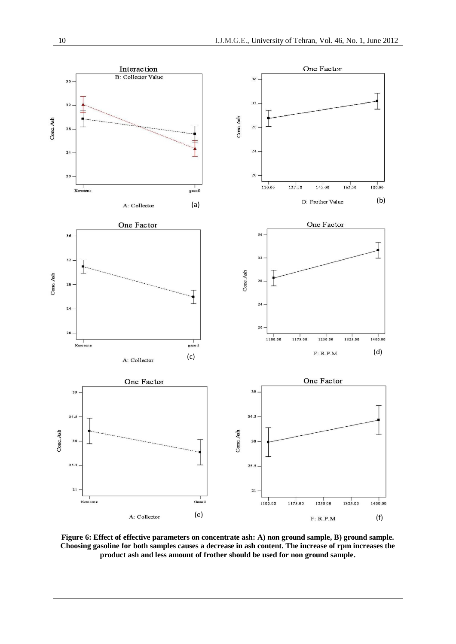

**Figure 6: Effect of effective parameters on concentrate ash: A) non ground sample, B) ground sample. Choosing gasoline for both samples causes a decrease in ash content. The increase of rpm increases the product ash and less amount of frother should be used for non ground sample.**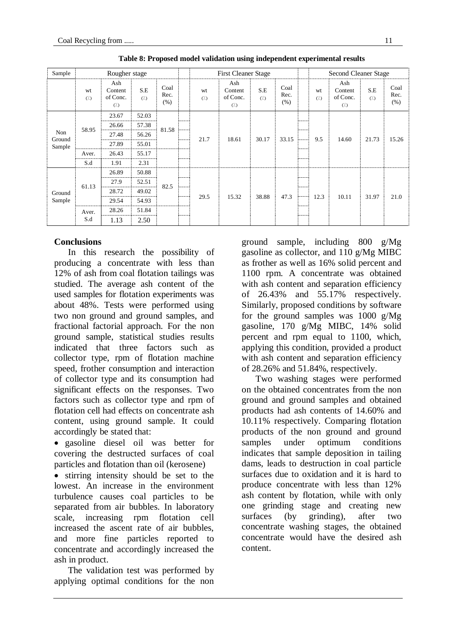| Sample                  |              | Rougher stage                              |                     |                      |  | <b>First Cleaner Stage</b> |                                            |                     |                      |  |                    | Second Cleaner Stage                          |                  |                      |  |
|-------------------------|--------------|--------------------------------------------|---------------------|----------------------|--|----------------------------|--------------------------------------------|---------------------|----------------------|--|--------------------|-----------------------------------------------|------------------|----------------------|--|
|                         | wt<br>$($ .) | Ash<br>Content<br>of Conc.<br>$(\sqrt{2})$ | S.E<br>$(\sqrt{2})$ | Coal<br>Rec.<br>(% ) |  | wt<br>$($ .)               | Ash<br>Content<br>of Conc.<br>$(\sqrt{2})$ | S.E<br>$(\sqrt{a})$ | Coal<br>Rec.<br>(% ) |  | wt<br>$(\sqrt{a})$ | Ash<br>Content<br>of Conc.<br>$(\frac{1}{2})$ | S.E<br>$(\cdot)$ | Coal<br>Rec.<br>(% ) |  |
| Non<br>Ground<br>Sample |              | 23.67                                      | 52.03               |                      |  |                            |                                            | 30.17               |                      |  |                    | 14.60                                         | 21.73            | 15.26                |  |
|                         | 58.95        | 26.66                                      | 57.38               | 81.58                |  |                            | 18.61                                      |                     |                      |  |                    |                                               |                  |                      |  |
|                         |              | 27.48                                      | 56.26               |                      |  | 21.7                       |                                            |                     |                      |  |                    |                                               |                  |                      |  |
|                         |              | 27.89                                      | 55.01               |                      |  |                            |                                            |                     | 33.15                |  | 9.5                |                                               |                  |                      |  |
|                         | Aver.        | 26.43                                      | 55.17               |                      |  |                            |                                            |                     |                      |  |                    |                                               |                  |                      |  |
|                         | S.d          | 1.91                                       | 2.31                |                      |  |                            |                                            |                     |                      |  |                    |                                               |                  |                      |  |
|                         |              | 26.89                                      | 50.88               |                      |  |                            |                                            |                     |                      |  |                    |                                               |                  |                      |  |
|                         | 61.13        | 27.9                                       | 52.51               | 82.5                 |  |                            |                                            |                     |                      |  |                    |                                               |                  |                      |  |
| Ground                  |              | 28.72                                      | 49.02               |                      |  |                            |                                            |                     |                      |  |                    |                                               |                  |                      |  |
| Sample                  |              | 29.54                                      | 54.93               |                      |  | 29.5                       | 15.32                                      | 38.88               | 47.3                 |  | 12.3               | 10.11                                         | 31.97            | 21.0                 |  |
|                         | Aver.        | 28.26                                      | 51.84               |                      |  |                            |                                            |                     |                      |  |                    |                                               |                  |                      |  |
|                         | S.d          | 1.13                                       | 2.50                |                      |  |                            |                                            |                     |                      |  |                    |                                               |                  |                      |  |

**Table 8: Proposed model validation using independent experimental results**

## **Conclusions**

In this research the possibility of producing a concentrate with less than 12% of ash from coal flotation tailings was studied. The average ash content of the used samples for flotation experiments was about 48%. Tests were performed using two non ground and ground samples, and fractional factorial approach. For the non ground sample, statistical studies results indicated that three factors such as collector type, rpm of flotation machine speed, frother consumption and interaction of collector type and its consumption had significant effects on the responses. Two factors such as collector type and rpm of flotation cell had effects on concentrate ash content, using ground sample. It could accordingly be stated that:

 gasoline diesel oil was better for covering the destructed surfaces of coal particles and flotation than oil (kerosene)

 stirring intensity should be set to the lowest. An increase in the environment turbulence causes coal particles to be separated from air bubbles. In laboratory scale, increasing rpm flotation cell increased the ascent rate of air bubbles, and more fine particles reported to concentrate and accordingly increased the ash in product.

The validation test was performed by applying optimal conditions for the non ground sample, including 800 g/Mg gasoline as collector, and 110 g/Mg MIBC as frother as well as 16% solid percent and 1100 rpm. A concentrate was obtained with ash content and separation efficiency of 26.43% and 55.17% respectively. Similarly, proposed conditions by software for the ground samples was 1000 g/Mg gasoline, 170 g/Mg MIBC, 14% solid percent and rpm equal to 1100, which, applying this condition, provided a product with ash content and separation efficiency of 28.26% and 51.84%, respectively.

Two washing stages were performed on the obtained concentrates from the non ground and ground samples and obtained products had ash contents of 14.60% and 10.11% respectively. Comparing flotation products of the non ground and ground samples under optimum conditions indicates that sample deposition in tailing dams, leads to destruction in coal particle surfaces due to oxidation and it is hard to produce concentrate with less than 12% ash content by flotation, while with only one grinding stage and creating new surfaces (by grinding), after two concentrate washing stages, the obtained concentrate would have the desired ash content.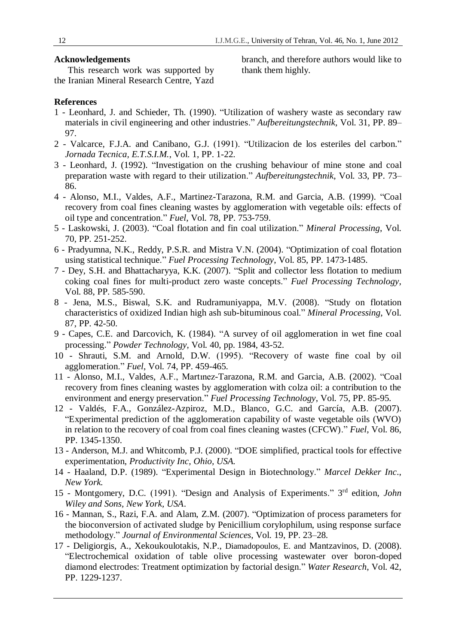### **Acknowledgements**

 This research work was supported by the Iranian Mineral Research Centre, Yazd branch, and therefore authors would like to thank them highly.

## **References**

- 1 Leonhard, J. and Schieder, Th. (1990). "Utilization of washery waste as secondary raw materials in civil engineering and other industries." *Aufbereitungstechnik*, Vol. 31, PP. 89– 97.
- 2 Valcarce, F.J.A. and Canibano, G.J. (1991). "Utilizacion de los esteriles del carbon." *Jornada Tecnica, E.T.S.I.M.*, Vol. 1, PP. 1-22.
- 3 Leonhard, J. (1992). "Investigation on the crushing behaviour of mine stone and coal preparation waste with regard to their utilization." *Aufbereitungstechnik*, Vol. 33, PP. 73– 86.
- 4 Alonso, M.I., Valdes, A.F., Martinez-Tarazona, R.M. and Garcia, A.B. (1999). "Coal recovery from coal fines cleaning wastes by agglomeration with vegetable oils: effects of oil type and concentration." *Fuel*, Vol. 78, PP. 753-759.
- 5 Laskowski, J. (2003). "Coal flotation and fin coal utilization." *Mineral Processing*, Vol. 70, PP. 251-252.
- 6 Pradyumna, N.K., Reddy, P.S.R. and Mistra V.N. (2004). "Optimization of coal flotation using statistical technique." *Fuel Processing Technology*, Vol. 85, PP. 1473-1485.
- 7 Dey, S.H. and Bhattacharyya, K.K. (2007). "Split and collector less flotation to medium coking coal fines for multi-product zero waste concepts." *Fuel Processing Technology*, Vol. 88, PP. 585-590.
- 8 Jena, M.S., Biswal, S.K. and Rudramuniyappa, M.V. (2008). "Study on flotation characteristics of oxidized Indian high ash sub-bituminous coal." *Mineral Processing*, Vol. 87, PP. 42-50.
- 9 Capes, C.E. and Darcovich, K. (1984). "A survey of oil agglomeration in wet fine coal processing." *Powder Technology*, Vol. 40, pp. 1984, 43-52.
- 10 Shrauti, S.M. and Arnold, D.W. (1995). "Recovery of waste fine coal by oil agglomeration." *Fuel*, Vol. 74, PP. 459-465.
- 11 Alonso, M.I., Valdes, A.F., Martınez-Tarazona, R.M. and Garcia, A.B. (2002). "Coal recovery from fines cleaning wastes by agglomeration with colza oil: a contribution to the environment and energy preservation." *Fuel Processing Technology*, Vol. 75, PP. 85-95.
- 12 Valdés, F.A., González-Azpiroz, M.D., Blanco, G.C. and García, A.B. (2007). "Experimental prediction of the agglomeration capability of waste vegetable oils (WVO) in relation to the recovery of coal from coal fines cleaning wastes (CFCW)." *Fuel*, Vol. 86, PP. 1345-1350.
- 13 Anderson, M.J. and Whitcomb, P.J. (2000). "DOE simplified, practical tools for effective experimentation, *Productivity Inc, Ohio, USA.*
- 14 Haaland, D.P. (1989). "Experimental Design in Biotechnology." *Marcel Dekker Inc*., *New York.*
- 15 Montgomery, D.C. (1991). "Design and Analysis of Experiments." 3 rd edition, *John Wiley and Sons, New York, USA*.
- 16 Mannan, S., Razi, F.A. and Alam, Z.M. (2007). "Optimization of process parameters for the bioconversion of activated sludge by Penicillium corylophilum, using response surface methodology." *Journal of Environmental Sciences*, Vol. 19, PP. 23–28.
- 17 Deligiorgis, A., Xekoukoulotakis, N.P., Diamadopoulos, E. and Mantzavinos, D. (2008). "Electrochemical oxidation of table olive processing wastewater over boron-doped diamond electrodes: Treatment optimization by factorial design." *Water Research*, Vol. 42, PP. 1229-1237.